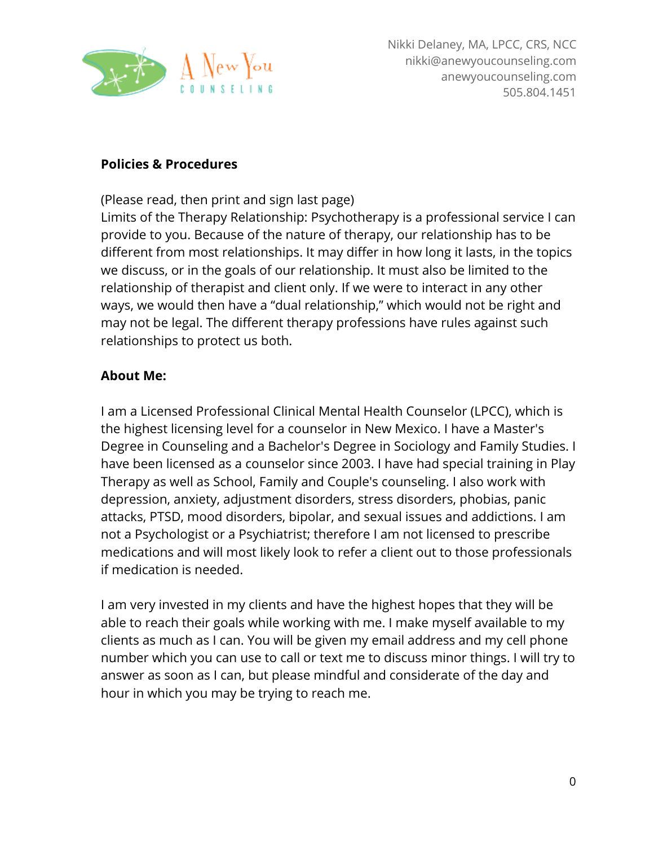

#### **Policies & Procedures**

(Please read, then print and sign last page)

Limits of the Therapy Relationship: Psychotherapy is a professional service I can provide to you. Because of the nature of therapy, our relationship has to be different from most relationships. It may differ in how long it lasts, in the topics we discuss, or in the goals of our relationship. It must also be limited to the relationship of therapist and client only. If we were to interact in any other ways, we would then have a "dual relationship," which would not be right and may not be legal. The different therapy professions have rules against such relationships to protect us both.

### **About Me:**

I am a Licensed Professional Clinical Mental Health Counselor (LPCC), which is the highest licensing level for a counselor in New Mexico. I have a Master's Degree in Counseling and a Bachelor's Degree in Sociology and Family Studies. I have been licensed as a counselor since 2003. I have had special training in Play Therapy as well as School, Family and Couple's counseling. I also work with depression, anxiety, adjustment disorders, stress disorders, phobias, panic attacks, PTSD, mood disorders, bipolar, and sexual issues and addictions. I am not a Psychologist or a Psychiatrist; therefore I am not licensed to prescribe medications and will most likely look to refer a client out to those professionals if medication is needed.

I am very invested in my clients and have the highest hopes that they will be able to reach their goals while working with me. I make myself available to my clients as much as I can. You will be given my email address and my cell phone number which you can use to call or text me to discuss minor things. I will try to answer as soon as I can, but please mindful and considerate of the day and hour in which you may be trying to reach me.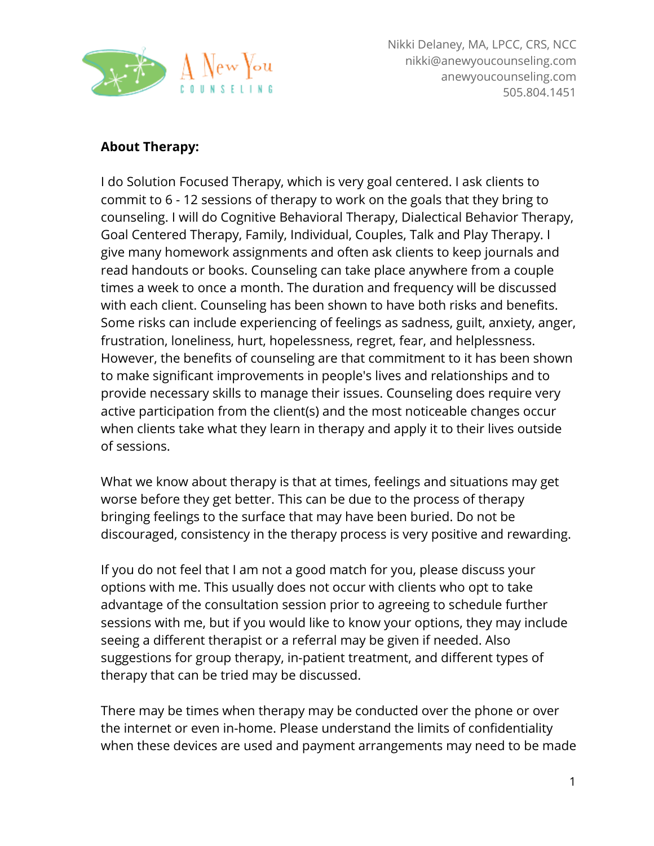

Nikki Delaney, MA, LPCC, CRS, NCC nikki@anewyoucounseling.com anewyoucounseling.com 505.804.1451

### **About Therapy:**

I do Solution Focused Therapy, which is very goal centered. I ask clients to commit to 6 - 12 sessions of therapy to work on the goals that they bring to counseling. I will do Cognitive Behavioral Therapy, Dialectical Behavior Therapy, Goal Centered Therapy, Family, Individual, Couples, Talk and Play Therapy. I give many homework assignments and often ask clients to keep journals and read handouts or books. Counseling can take place anywhere from a couple times a week to once a month. The duration and frequency will be discussed with each client. Counseling has been shown to have both risks and benefits. Some risks can include experiencing of feelings as sadness, guilt, anxiety, anger, frustration, loneliness, hurt, hopelessness, regret, fear, and helplessness. However, the benefits of counseling are that commitment to it has been shown to make significant improvements in people's lives and relationships and to provide necessary skills to manage their issues. Counseling does require very active participation from the client(s) and the most noticeable changes occur when clients take what they learn in therapy and apply it to their lives outside of sessions.

What we know about therapy is that at times, feelings and situations may get worse before they get better. This can be due to the process of therapy bringing feelings to the surface that may have been buried. Do not be discouraged, consistency in the therapy process is very positive and rewarding.

If you do not feel that I am not a good match for you, please discuss your options with me. This usually does not occur with clients who opt to take advantage of the consultation session prior to agreeing to schedule further sessions with me, but if you would like to know your options, they may include seeing a different therapist or a referral may be given if needed. Also suggestions for group therapy, in-patient treatment, and different types of therapy that can be tried may be discussed.

There may be times when therapy may be conducted over the phone or over the internet or even in-home. Please understand the limits of confidentiality when these devices are used and payment arrangements may need to be made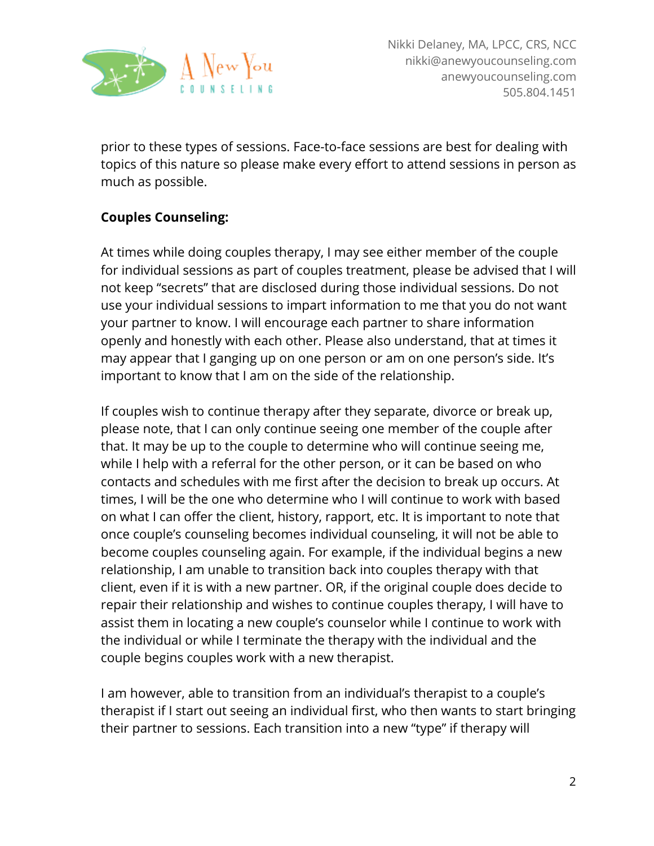

prior to these types of sessions. Face-to-face sessions are best for dealing with topics of this nature so please make every effort to attend sessions in person as much as possible.

# **Couples Counseling:**

At times while doing couples therapy, I may see either member of the couple for individual sessions as part of couples treatment, please be advised that I will not keep "secrets" that are disclosed during those individual sessions. Do not use your individual sessions to impart information to me that you do not want your partner to know. I will encourage each partner to share information openly and honestly with each other. Please also understand, that at times it may appear that I ganging up on one person or am on one person's side. It's important to know that I am on the side of the relationship.

If couples wish to continue therapy after they separate, divorce or break up, please note, that I can only continue seeing one member of the couple after that. It may be up to the couple to determine who will continue seeing me, while I help with a referral for the other person, or it can be based on who contacts and schedules with me first after the decision to break up occurs. At times, I will be the one who determine who I will continue to work with based on what I can offer the client, history, rapport, etc. It is important to note that once couple's counseling becomes individual counseling, it will not be able to become couples counseling again. For example, if the individual begins a new relationship, I am unable to transition back into couples therapy with that client, even if it is with a new partner. OR, if the original couple does decide to repair their relationship and wishes to continue couples therapy, I will have to assist them in locating a new couple's counselor while I continue to work with the individual or while I terminate the therapy with the individual and the couple begins couples work with a new therapist.

I am however, able to transition from an individual's therapist to a couple's therapist if I start out seeing an individual first, who then wants to start bringing their partner to sessions. Each transition into a new "type" if therapy will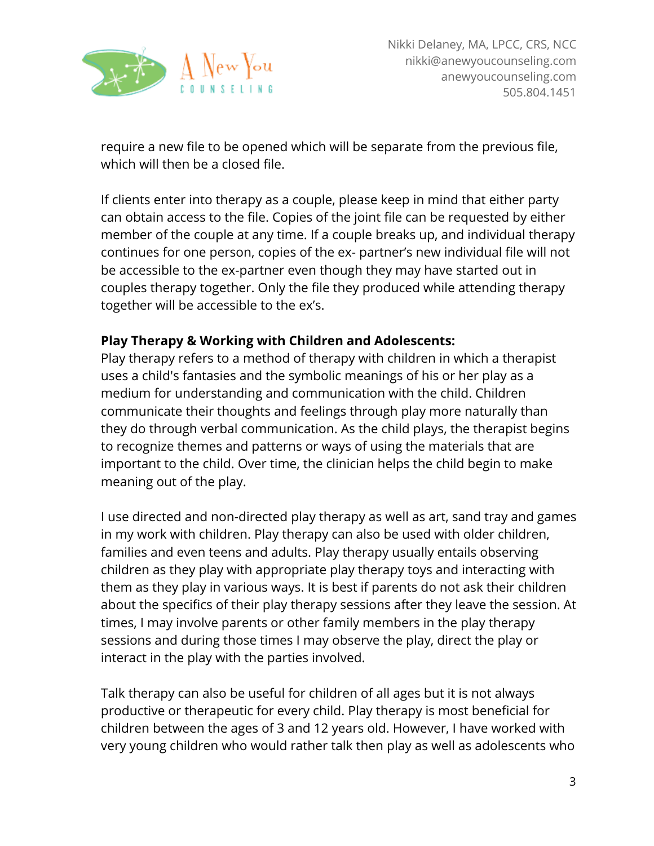

require a new file to be opened which will be separate from the previous file, which will then be a closed file.

If clients enter into therapy as a couple, please keep in mind that either party can obtain access to the file. Copies of the joint file can be requested by either member of the couple at any time. If a couple breaks up, and individual therapy continues for one person, copies of the ex- partner's new individual file will not be accessible to the ex-partner even though they may have started out in couples therapy together. Only the file they produced while attending therapy together will be accessible to the ex's.

### **Play Therapy & Working with Children and Adolescents:**

Play therapy refers to a method of therapy with children in which a therapist uses a child's fantasies and the symbolic meanings of his or her play as a medium for understanding and communication with the child. Children communicate their thoughts and feelings through play more naturally than they do through verbal communication. As the child plays, the therapist begins to recognize themes and patterns or ways of using the materials that are important to the child. Over time, the clinician helps the child begin to make meaning out of the play.

I use directed and non-directed play therapy as well as art, sand tray and games in my work with children. Play therapy can also be used with older children, families and even teens and adults. Play therapy usually entails observing children as they play with appropriate play therapy toys and interacting with them as they play in various ways. It is best if parents do not ask their children about the specifics of their play therapy sessions after they leave the session. At times, I may involve parents or other family members in the play therapy sessions and during those times I may observe the play, direct the play or interact in the play with the parties involved.

Talk therapy can also be useful for children of all ages but it is not always productive or therapeutic for every child. Play therapy is most beneficial for children between the ages of 3 and 12 years old. However, I have worked with very young children who would rather talk then play as well as adolescents who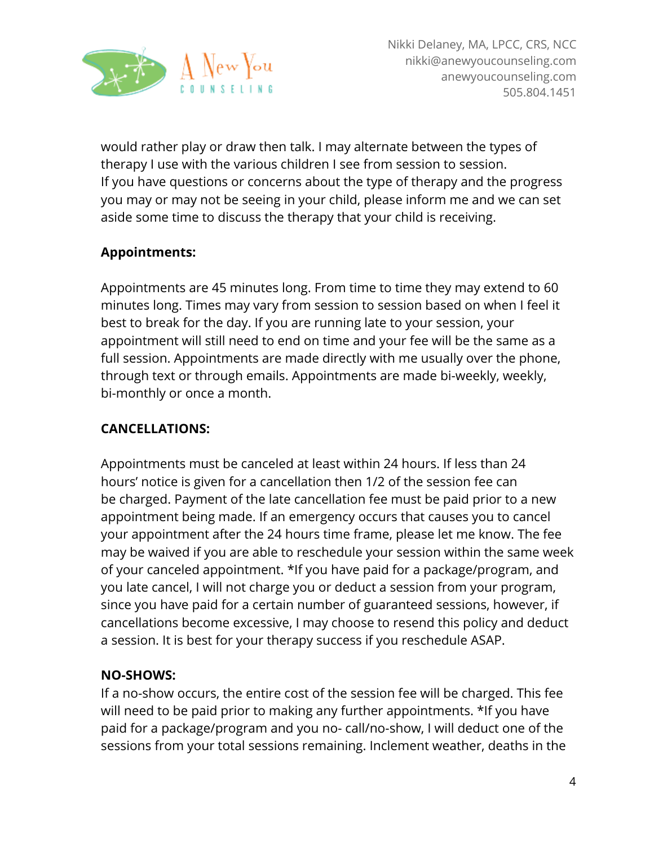

would rather play or draw then talk. I may alternate between the types of therapy I use with the various children I see from session to session. If you have questions or concerns about the type of therapy and the progress you may or may not be seeing in your child, please inform me and we can set aside some time to discuss the therapy that your child is receiving.

# **Appointments:**

Appointments are 45 minutes long. From time to time they may extend to 60 minutes long. Times may vary from session to session based on when I feel it best to break for the day. If you are running late to your session, your appointment will still need to end on time and your fee will be the same as a full session. Appointments are made directly with me usually over the phone, through text or through emails. Appointments are made bi-weekly, weekly, bi-monthly or once a month.

### **CANCELLATIONS:**

Appointments must be canceled at least within 24 hours. If less than 24 hours' notice is given for a cancellation then 1/2 of the session fee can be charged. Payment of the late cancellation fee must be paid prior to a new appointment being made. If an emergency occurs that causes you to cancel your appointment after the 24 hours time frame, please let me know. The fee may be waived if you are able to reschedule your session within the same week of your canceled appointment. \*If you have paid for a package/program, and you late cancel, I will not charge you or deduct a session from your program, since you have paid for a certain number of guaranteed sessions, however, if cancellations become excessive, I may choose to resend this policy and deduct a session. It is best for your therapy success if you reschedule ASAP.

### **NO-SHOWS:**

If a no-show occurs, the entire cost of the session fee will be charged. This fee will need to be paid prior to making any further appointments. \*If you have paid for a package/program and you no- call/no-show, I will deduct one of the sessions from your total sessions remaining. Inclement weather, deaths in the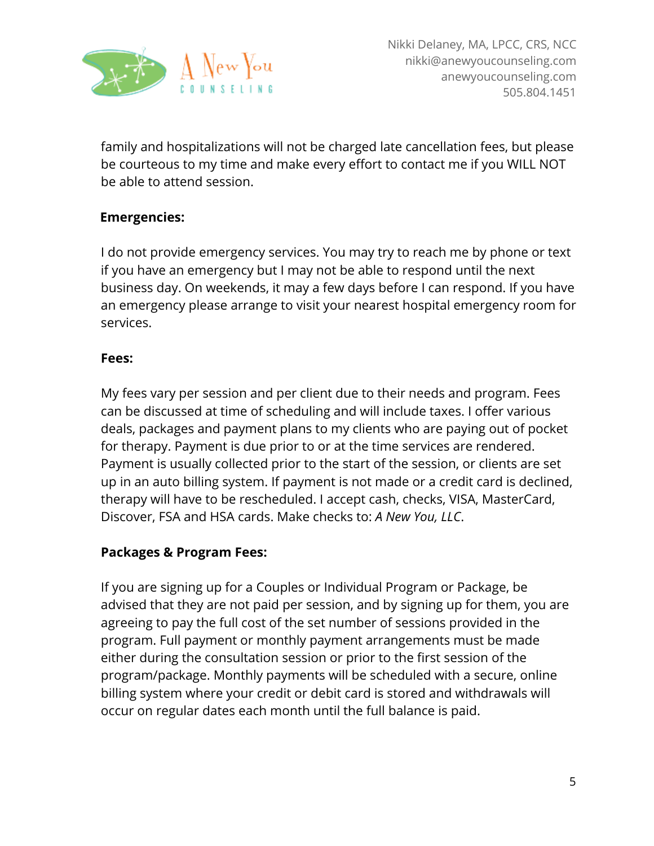

family and hospitalizations will not be charged late cancellation fees, but please be courteous to my time and make every effort to contact me if you WILL NOT be able to attend session.

### **Emergencies:**

I do not provide emergency services. You may try to reach me by phone or text if you have an emergency but I may not be able to respond until the next business day. On weekends, it may a few days before I can respond. If you have an emergency please arrange to visit your nearest hospital emergency room for services.

#### **Fees:**

My fees vary per session and per client due to their needs and program. Fees can be discussed at time of scheduling and will include taxes. I offer various deals, packages and payment plans to my clients who are paying out of pocket for therapy. Payment is due prior to or at the time services are rendered. Payment is usually collected prior to the start of the session, or clients are set up in an auto billing system. If payment is not made or a credit card is declined, therapy will have to be rescheduled. I accept cash, checks, VISA, MasterCard, Discover, FSA and HSA cards. Make checks to: *A New You, LLC*.

### **Packages & Program Fees:**

If you are signing up for a Couples or Individual Program or Package, be advised that they are not paid per session, and by signing up for them, you are agreeing to pay the full cost of the set number of sessions provided in the program. Full payment or monthly payment arrangements must be made either during the consultation session or prior to the first session of the program/package. Monthly payments will be scheduled with a secure, online billing system where your credit or debit card is stored and withdrawals will occur on regular dates each month until the full balance is paid.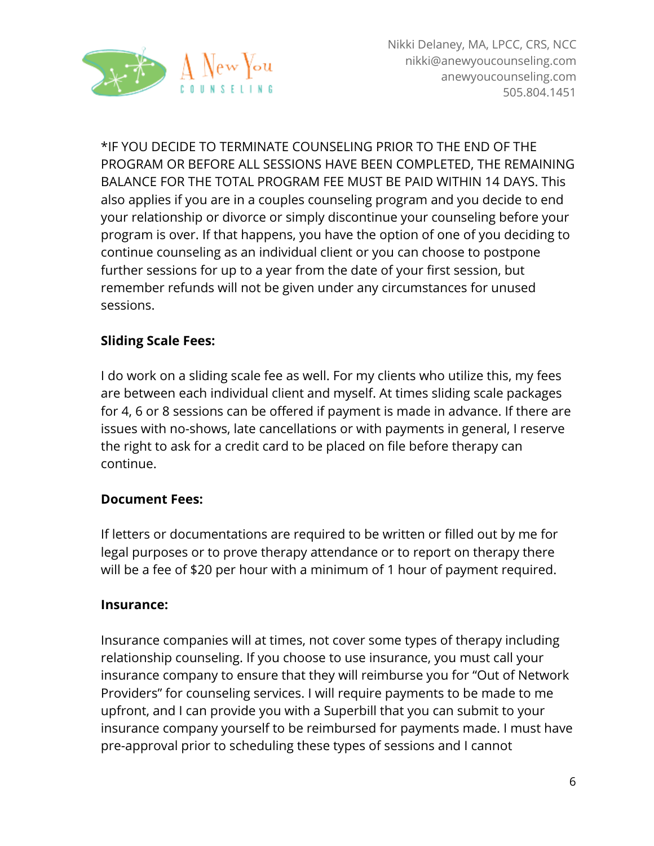

\*IF YOU DECIDE TO TERMINATE COUNSELING PRIOR TO THE END OF THE PROGRAM OR BEFORE ALL SESSIONS HAVE BEEN COMPLETED, THE REMAINING BALANCE FOR THE TOTAL PROGRAM FEE MUST BE PAID WITHIN 14 DAYS. This also applies if you are in a couples counseling program and you decide to end your relationship or divorce or simply discontinue your counseling before your program is over. If that happens, you have the option of one of you deciding to continue counseling as an individual client or you can choose to postpone further sessions for up to a year from the date of your first session, but remember refunds will not be given under any circumstances for unused sessions.

# **Sliding Scale Fees:**

I do work on a sliding scale fee as well. For my clients who utilize this, my fees are between each individual client and myself. At times sliding scale packages for 4, 6 or 8 sessions can be offered if payment is made in advance. If there are issues with no-shows, late cancellations or with payments in general, I reserve the right to ask for a credit card to be placed on file before therapy can continue.

### **Document Fees:**

If letters or documentations are required to be written or filled out by me for legal purposes or to prove therapy attendance or to report on therapy there will be a fee of \$20 per hour with a minimum of 1 hour of payment required.

#### **Insurance:**

Insurance companies will at times, not cover some types of therapy including relationship counseling. If you choose to use insurance, you must call your insurance company to ensure that they will reimburse you for "Out of Network Providers" for counseling services. I will require payments to be made to me upfront, and I can provide you with a Superbill that you can submit to your insurance company yourself to be reimbursed for payments made. I must have pre-approval prior to scheduling these types of sessions and I cannot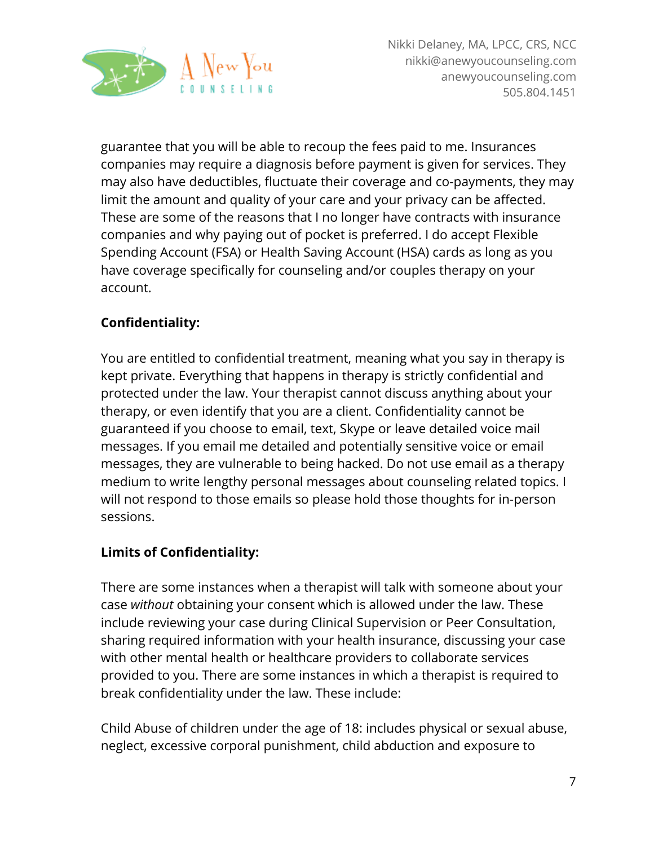

guarantee that you will be able to recoup the fees paid to me. Insurances companies may require a diagnosis before payment is given for services. They may also have deductibles, fluctuate their coverage and co-payments, they may limit the amount and quality of your care and your privacy can be affected. These are some of the reasons that I no longer have contracts with insurance companies and why paying out of pocket is preferred. I do accept Flexible Spending Account (FSA) or Health Saving Account (HSA) cards as long as you have coverage specifically for counseling and/or couples therapy on your account.

# **Confidentiality:**

You are entitled to confidential treatment, meaning what you say in therapy is kept private. Everything that happens in therapy is strictly confidential and protected under the law. Your therapist cannot discuss anything about your therapy, or even identify that you are a client. Confidentiality cannot be guaranteed if you choose to email, text, Skype or leave detailed voice mail messages. If you email me detailed and potentially sensitive voice or email messages, they are vulnerable to being hacked. Do not use email as a therapy medium to write lengthy personal messages about counseling related topics. I will not respond to those emails so please hold those thoughts for in-person sessions.

# **Limits of Confidentiality:**

There are some instances when a therapist will talk with someone about your case *without* obtaining your consent which is allowed under the law. These include reviewing your case during Clinical Supervision or Peer Consultation, sharing required information with your health insurance, discussing your case with other mental health or healthcare providers to collaborate services provided to you. There are some instances in which a therapist is required to break confidentiality under the law. These include:

Child Abuse of children under the age of 18: includes physical or sexual abuse, neglect, excessive corporal punishment, child abduction and exposure to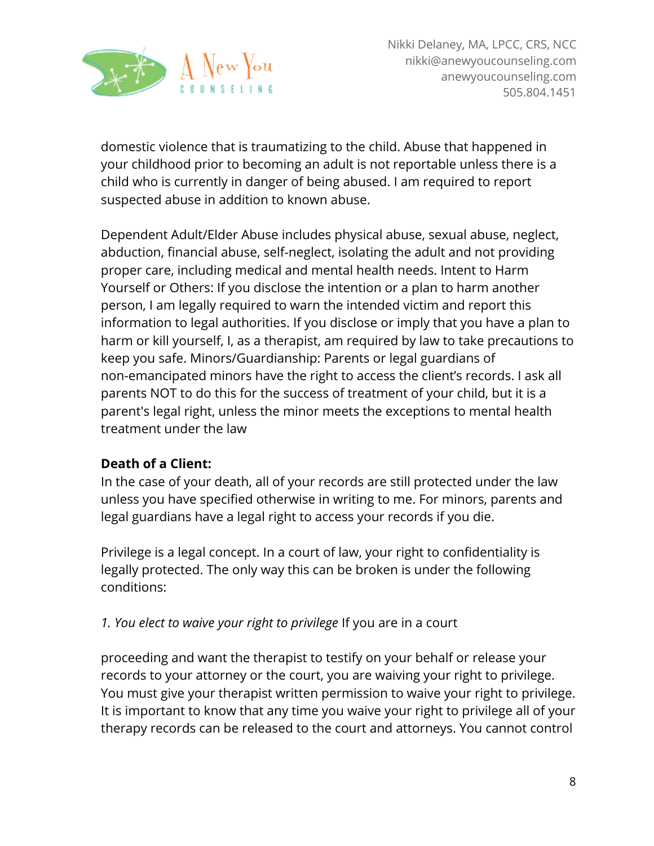

domestic violence that is traumatizing to the child. Abuse that happened in your childhood prior to becoming an adult is not reportable unless there is a child who is currently in danger of being abused. I am required to report suspected abuse in addition to known abuse.

Dependent Adult/Elder Abuse includes physical abuse, sexual abuse, neglect, abduction, financial abuse, self-neglect, isolating the adult and not providing proper care, including medical and mental health needs. Intent to Harm Yourself or Others: If you disclose the intention or a plan to harm another person, I am legally required to warn the intended victim and report this information to legal authorities. If you disclose or imply that you have a plan to harm or kill yourself, I, as a therapist, am required by law to take precautions to keep you safe. Minors/Guardianship: Parents or legal guardians of non-emancipated minors have the right to access the client's records. I ask all parents NOT to do this for the success of treatment of your child, but it is a parent's legal right, unless the minor meets the exceptions to mental health treatment under the law

# **Death of a Client:**

In the case of your death, all of your records are still protected under the law unless you have specified otherwise in writing to me. For minors, parents and legal guardians have a legal right to access your records if you die.

Privilege is a legal concept. In a court of law, your right to confidentiality is legally protected. The only way this can be broken is under the following conditions:

# *1. You elect to waive your right to privilege* If you are in a court

proceeding and want the therapist to testify on your behalf or release your records to your attorney or the court, you are waiving your right to privilege. You must give your therapist written permission to waive your right to privilege. It is important to know that any time you waive your right to privilege all of your therapy records can be released to the court and attorneys. You cannot control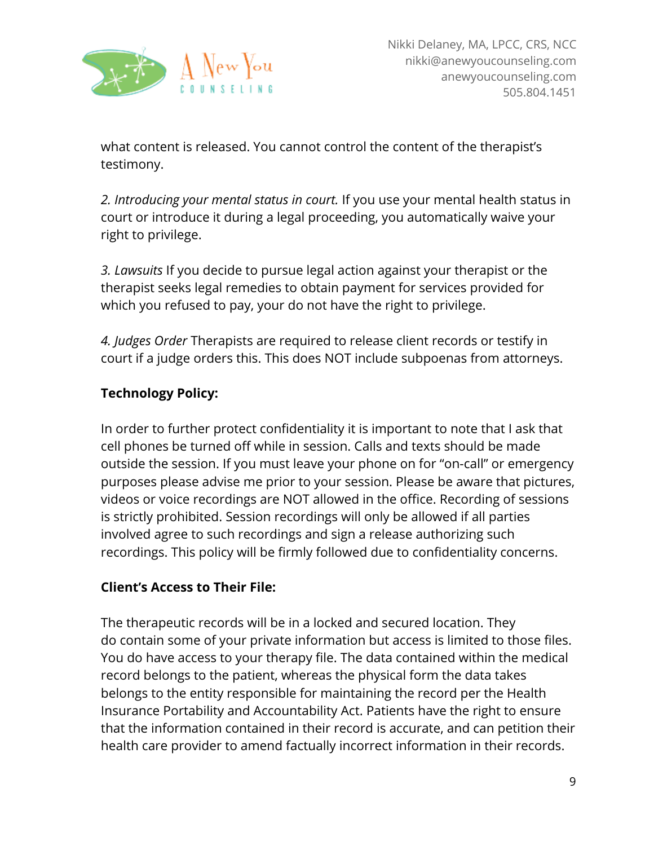

what content is released. You cannot control the content of the therapist's testimony.

*2. Introducing your mental status in court.* If you use your mental health status in court or introduce it during a legal proceeding, you automatically waive your right to privilege.

*3. Lawsuits* If you decide to pursue legal action against your therapist or the therapist seeks legal remedies to obtain payment for services provided for which you refused to pay, your do not have the right to privilege.

*4. Judges Order* Therapists are required to release client records or testify in court if a judge orders this. This does NOT include subpoenas from attorneys.

# **Technology Policy:**

In order to further protect confidentiality it is important to note that I ask that cell phones be turned off while in session. Calls and texts should be made outside the session. If you must leave your phone on for "on-call" or emergency purposes please advise me prior to your session. Please be aware that pictures, videos or voice recordings are NOT allowed in the office. Recording of sessions is strictly prohibited. Session recordings will only be allowed if all parties involved agree to such recordings and sign a release authorizing such recordings. This policy will be firmly followed due to confidentiality concerns.

# **Client's Access to Their File:**

The therapeutic records will be in a locked and secured location. They do contain some of your private information but access is limited to those files. You do have access to your therapy file. The data contained within the medical record belongs to the patient, whereas the physical form the data takes belongs to the entity responsible for maintaining the record per the Health Insurance Portability and Accountability Act. Patients have the right to ensure that the information contained in their record is accurate, and can petition their health care provider to amend factually incorrect information in their records.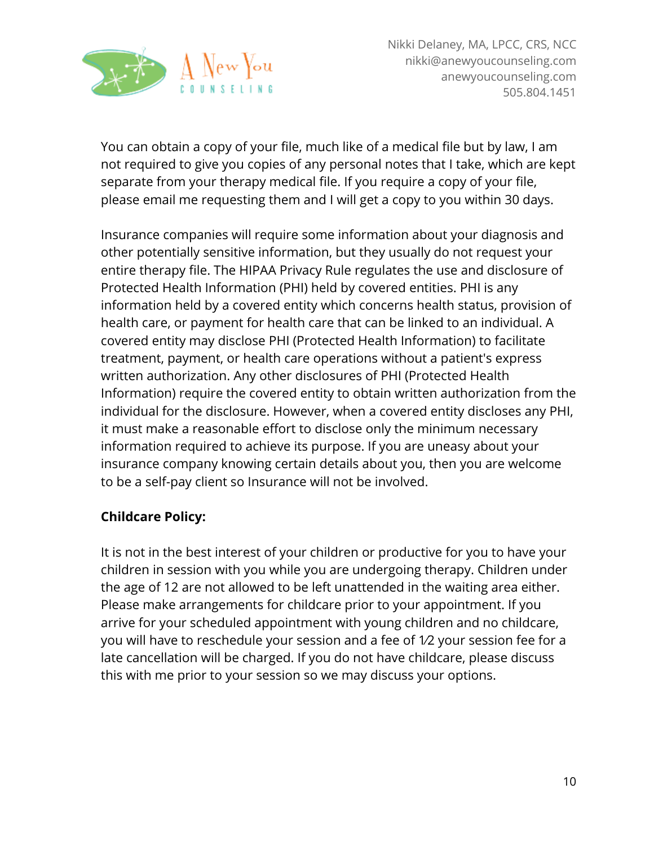

You can obtain a copy of your file, much like of a medical file but by law, I am not required to give you copies of any personal notes that I take, which are kept separate from your therapy medical file. If you require a copy of your file, please email me requesting them and I will get a copy to you within 30 days.

Insurance companies will require some information about your diagnosis and other potentially sensitive information, but they usually do not request your entire therapy file. The HIPAA Privacy Rule regulates the use and disclosure of Protected Health Information (PHI) held by covered entities. PHI is any information held by a covered entity which concerns health status, provision of health care, or payment for health care that can be linked to an individual. A covered entity may disclose PHI (Protected Health Information) to facilitate treatment, payment, or health care operations without a patient's express written authorization. Any other disclosures of PHI (Protected Health Information) require the covered entity to obtain written authorization from the individual for the disclosure. However, when a covered entity discloses any PHI, it must make a reasonable effort to disclose only the minimum necessary information required to achieve its purpose. If you are uneasy about your insurance company knowing certain details about you, then you are welcome to be a self-pay client so Insurance will not be involved.

### **Childcare Policy:**

It is not in the best interest of your children or productive for you to have your children in session with you while you are undergoing therapy. Children under the age of 12 are not allowed to be left unattended in the waiting area either. Please make arrangements for childcare prior to your appointment. If you arrive for your scheduled appointment with young children and no childcare, you will have to reschedule your session and a fee of 1⁄2 your session fee for a late cancellation will be charged. If you do not have childcare, please discuss this with me prior to your session so we may discuss your options.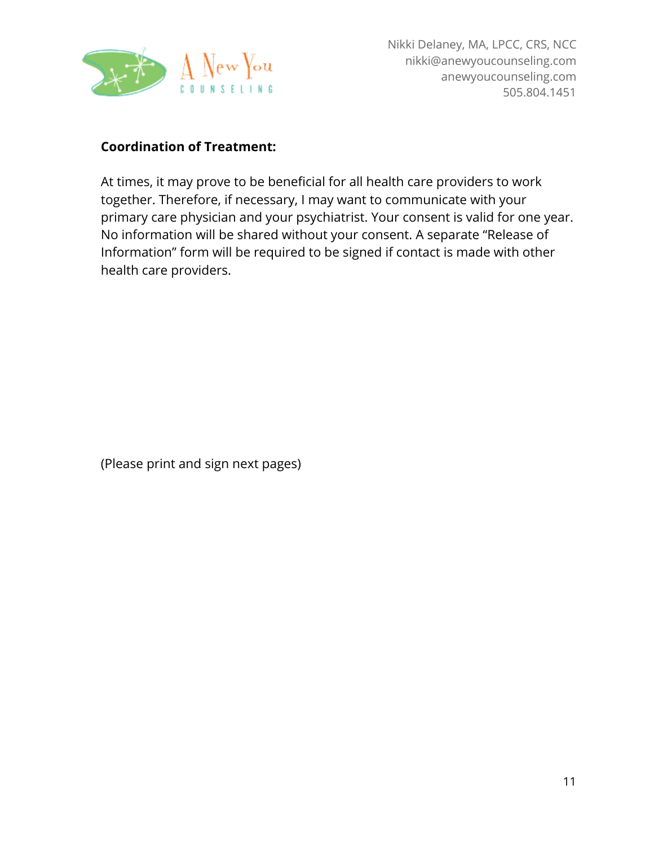

### **Coordination of Treatment:**

At times, it may prove to be beneficial for all health care providers to work together. Therefore, if necessary, I may want to communicate with your primary care physician and your psychiatrist. Your consent is valid for one year. No information will be shared without your consent. A separate "Release of Information" form will be required to be signed if contact is made with other health care providers.

(Please print and sign next pages)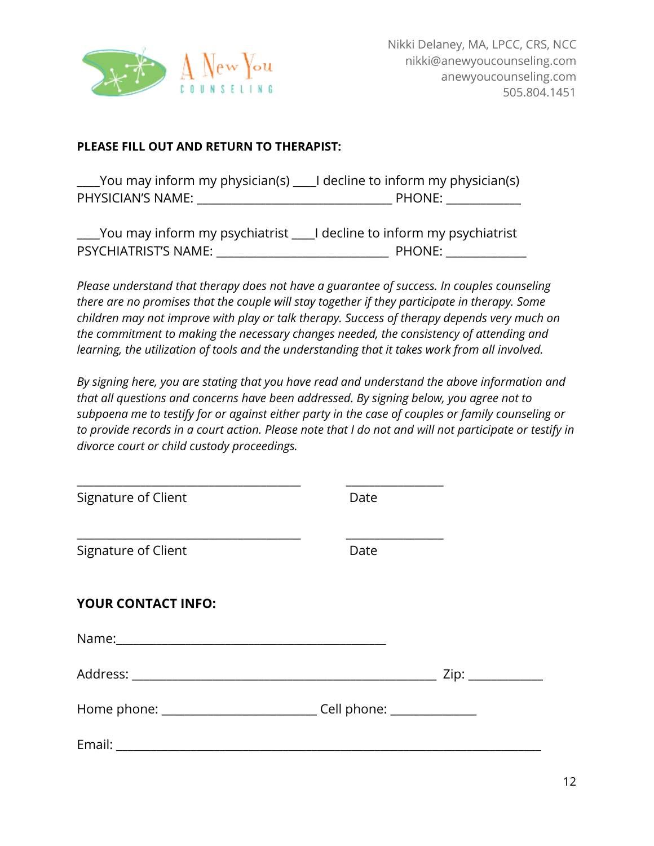

#### **PLEASE FILL OUT AND RETURN TO THERAPIST:**

\_\_\_\_You may inform my physician(s) \_\_\_\_I decline to inform my physician(s) PHYSICIAN'S NAME: \_\_\_\_\_\_\_\_\_\_\_\_\_\_\_\_\_\_\_\_\_\_\_\_\_\_\_\_\_\_\_\_\_\_ PHONE: \_\_\_\_\_\_\_\_\_\_\_\_\_

| $\_$ You may inform my psychiatrist $\_$ | $\_$ I decline to inform my psychiatrist $\,$ |
|------------------------------------------|-----------------------------------------------|
| PSYCHIATRIST'S NAME:                     | PHONE:                                        |

*Please understand that therapy does not have a guarantee of success. In couples counseling there are no promises that the couple will stay together if they participate in therapy. Some children may not improve with play or talk therapy. Success of therapy depends very much on the commitment to making the necessary changes needed, the consistency of attending and learning, the utilization of tools and the understanding that it takes work from all involved.*

*By signing here, you are stating that you have read and understand the above information and that all questions and concerns have been addressed. By signing below, you agree not to subpoena me to testify for or against either party in the case of couples or family counseling or to provide records in a court action. Please note that I do not and will not participate or testify in divorce court or child custody proceedings.*

| Signature of Client                                                              | Date |  |
|----------------------------------------------------------------------------------|------|--|
|                                                                                  |      |  |
| Signature of Client                                                              | Date |  |
| <b>YOUR CONTACT INFO:</b>                                                        |      |  |
|                                                                                  |      |  |
|                                                                                  |      |  |
| Home phone: __________________________________Cell phone: ______________________ |      |  |
|                                                                                  |      |  |